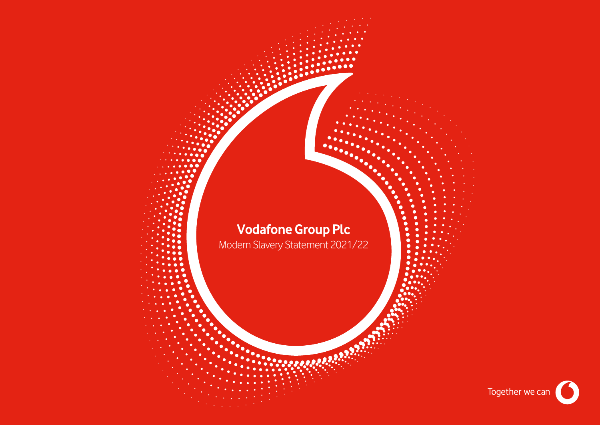# **Vodafone Group Plc**

Modern Slavery Statement 2021/22

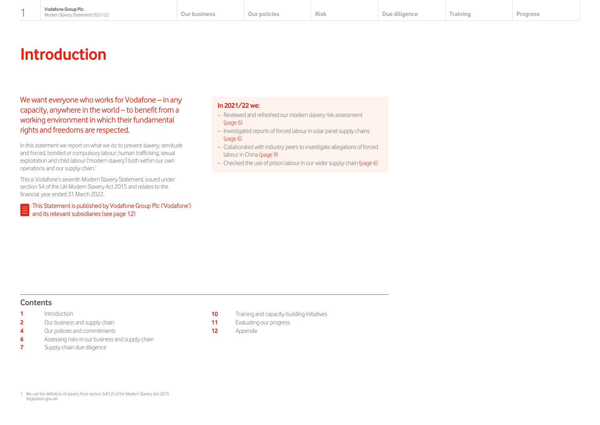# **Introduction**

We want everyone who works for Vodafone – in any capacity, anywhere in the world – to benefit from a working environment in which their fundamental rights and freedoms are respected.

In this statement we report on what we do to prevent slavery, servitude and forced, bonded or compulsory labour, human trafficking, sexual exploitation and child labour ('modern slavery') both within our own operations and our supply chain.<sup>1</sup>

This is Vodafone's seventh Modern Slavery Statement, issued under section 54 of the UK Modern Slavery Act 2015 and relates to the financial year ended 31 March 2022.

[This Statement is published by Vodafone Group Plc \('Vodafone'\)](#page-12-0)  E and its relevant subsidiaries (see page 12)

# **In 2021/22 we:**

- Reviewed and refreshed our modern slavery risk assessment [\(page 6\)](#page-6-0)
- Investigated reports of forced labour in solar panel supply chains [\(page 6\)](#page-6-0)
- Collaborated with industry peers to investigate allegations of forced labour in Chin[a \(page 9\)](#page-9-0)
- Checked the use of prison labour in our wider supply chai[n \(page 6\)](#page-6-0)

# **Contents**

- **1** Introduction
- **2** [Our business and supply chain](#page-2-0)
- **4** [Our policies and commitments](#page-4-0)
- **6** [Assessing risks in our business and supply chain](#page-6-0)
- **7** [Supply chain due diligence](#page-7-0)
- **10** [Training and capacity-building initiatives](#page-10-0)
- **11** [Evaluating our progress](#page-11-0)
- **12** [Appendix](#page-12-0)

1. We use the definition of slavery from section 54(12) of the Modern Slavery Act 2015 [\(legislation.gov.uk\)](https://www.legislation.gov.uk/)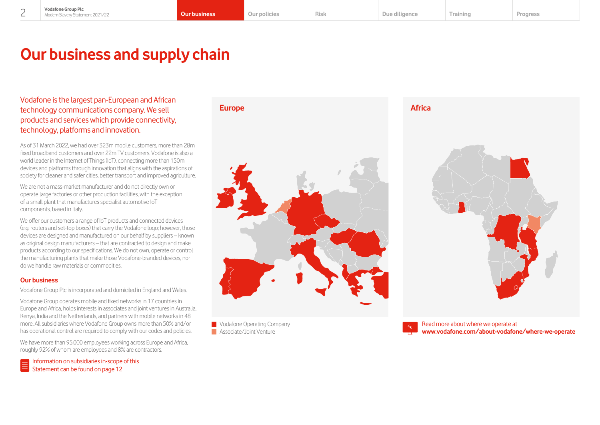# <span id="page-2-0"></span>**Our business and supply chain**

Vodafone is the largest pan-European and African technology communications company. We sell products and services which provide connectivity, technology, platforms and innovation.

As of 31 March 2022, we had over 323m mobile customers, more than 28m fixed broadband customers and over 22m TV customers. Vodafone is also a world leader in the Internet of Things (IoT), connecting more than 150m devices and platforms through innovation that aligns with the aspirations of society for cleaner and safer cities, better transport and improved agriculture.

We are not a mass-market manufacturer and do not directly own or operate large factories or other production facilities, with the exception of a small plant that manufactures specialist automotive IoT components, based in Italy.

We offer our customers a range of IoT products and connected devices (e.g. routers and set-top boxes) that carry the Vodafone logo; however, those devices are designed and manufactured on our behalf by suppliers – known as original design manufacturers – that are contracted to design and make products according to our specifications. We do not own, operate or control the manufacturing plants that make those Vodafone-branded devices, nor do we handle raw materials or commodities.

# **Our business**

Vodafone Group Plc is incorporated and domiciled in England and Wales.

Vodafone Group operates mobile and fixed networks in 17 countries in Europe and Africa, holds interests in associates and joint ventures in Australia, Kenya, India and the Netherlands, and partners with mobile networks in 48 more. All subsidiaries where Vodafone Group owns more than 50% and/or has operational control are required to comply with our codes and policies.

We have more than 95,000 employees working across Europe and Africa, roughly 92% of whom are employees and 8% are contractors.

[Information on subsidiaries in-scope of this](#page-12-0)   $\boxed{\equiv}\n\begin{array}{l}\n\text{Information of a subplane 12}\n\end{array}\n\end{array}\n\quad \text{Statement can be found on page 12}$ 



**Vodafone Operating Company Associate/Joint Venture** 





Read more about where we operate at **[www.vodafone.com/about-vodafone/where-we-operate](https://www.vodafone.com/about-vodafone/where-we-operate)**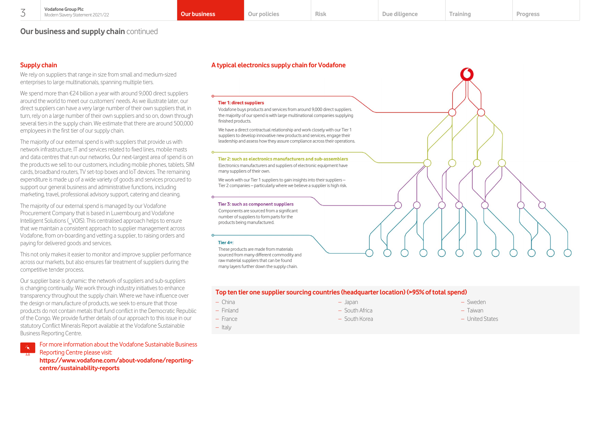# **Our business and supply chain** continued

# **Supply chain**

We rely on suppliers that range in size from small and medium-sized enterprises to large multinationals, spanning multiple tiers.

We spend more than €24 billion a vear with around 9,000 direct suppliers around the world to meet our customers' needs. As we illustrate later, our direct suppliers can have a very large number of their own suppliers that, in turn, rely on a large number of their own suppliers and so on, down through several tiers in the supply chain. We estimate that there are around 500,000 employees in the first tier of our supply chain.

The majority of our external spend is with suppliers that provide us with network infrastructure, IT and services related to fixed lines, mobile masts and data centres that run our networks. Our next-largest area of spend is on the products we sell to our customers, including mobile phones, tablets, SIM cards, broadband routers, TV set-top boxes and IoT devices. The remaining expenditure is made up of a wide variety of goods and services procured to support our general business and administrative functions, including marketing, travel, professional advisory support, catering and cleaning.

The majority of our external spend is managed by our Vodafone Procurement Company that is based in Luxembourg and Vodafone Intelligent Solutions (\_VOIS). This centralised approach helps to ensure that we maintain a consistent approach to supplier management across Vodafone, from on-boarding and vetting a supplier, to raising orders and paying for delivered goods and services.

This not only makes it easier to monitor and improve supplier performance across our markets, but also ensures fair treatment of suppliers during the competitive tender process.

Our supplier base is dynamic: the network of suppliers and sub-suppliers is changing continually. We work through industry initiatives to enhance transparency throughout the supply chain. Where we have influence over the design or manufacture of products, we seek to ensure that those products do not contain metals that fund conflict in the Democratic Republic of the Congo. We provide further details of our approach to this issue in our statutory Conflict Minerals Report available at the Vodafone Sustainable Business Reporting Centre.

[For more information about the Vodafone Sustainable Business](https://www.vodafone.com/about-vodafone/reporting-centre/sustainability-reports)  Reporting Centre please visit: **https://www.vodafone.com/about-vodafone/reportingcentre/sustainability-reports**

### **A typical electronics supply chain for Vodafone**

#### **Tier 1: direct suppliers**

Vodafone buys products and services from around 9,000 direct suppliers. the majority of our spend is with large multinational companies supplying finished products.

We have a direct contractual relationship and work closely with our Tier 1 suppliers to develop innovative new products and services, engage their leadership and assess how they assure compliance across their operations.

#### Tier 2: such as electronics manufacturers and sub-assemblers

Electronics manufacturers and suppliers of electronic equipment have many suppliers of their own.

We work with our Tier 1 suppliers to gain insights into their suppliers -Tier 2 companies – particularly where we believe a supplier is high risk.

#### Tier 3: such as component suppliers

Components are sourced from a significant number of suppliers to form parts for the products being manufactured.

#### Tier 4+:

These products are made from materials sourced from many different commodity and raw material suppliers that can be found many layers further down the supply chain.

#### **Top ten tier one supplier sourcing countries (headquarter location) (>95% of total spend)**

- China
- Finland
- France
- Italy
- Japan
- South Africa
- South Korea
- Sweden
	- Taiwan
	- United States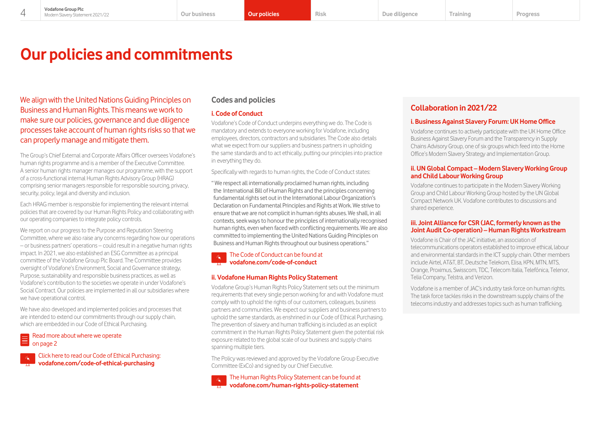# <span id="page-4-0"></span>**Our policies and commitments**

We align with the United Nations Guiding Principles on Business and Human Rights. This means we work to make sure our policies, governance and due diligence processes take account of human rights risks so that we can properly manage and mitigate them.

The Group's Chief External and Corporate Affairs Officer oversees Vodafone's human rights programme and is a member of the Executive Committee. A senior human rights manager manages our programme, with the support of a cross-functional internal Human Rights Advisory Group (HRAG) comprising senior managers responsible for responsible sourcing, privacy, security, policy, legal and diversity and inclusion.

Each HRAG member is responsible for implementing the relevant internal policies that are covered by our Human Rights Policy and collaborating with our operating companies to integrate policy controls.

We report on our progress to the Purpose and Reputation Steering Committee, where we also raise any concerns regarding how our operations – or business partners' operations – could result in a negative human rights impact. In 2021, we also established an ESG Committee as a principal committee of the Vodafone Group Plc Board. The Committee provides oversight of Vodafone's Environment, Social and Governance strategy, Purpose, sustainability and responsible business practices, as well as Vodafone's contribution to the societies we operate in under Vodafone's Social Contract. Our policies are implemented in all our subsidiaries where we have operational control.

We have also developed and implemented policies and processes that are intended to extend our commitments through our supply chain, which are embedded in our Code of Ethical Purchasing.

### [Read more about where we operate](#page-2-0)  on page 2

[Click here to read our Code of Ethical Purchasing:](https://www.vodafone.com/content/dam/vodcom/files/policies-and-requirements-for-suppliers/VPC_Supplier-Policy_A2_Code_of_Ethical_Purchasing_V3-0.pdf)  **[vodafone.com/code-of-ethical-purchasing](http://vodafone.com/code-of-ethical-purchasing)**

# **Codes and policies**

# **i. Code of Conduct**

Vodafone's Code of Conduct underpins everything we do. The Code is mandatory and extends to everyone working for Vodafone, including employees, directors, contractors and subsidiaries. The Code also details what we expect from our suppliers and business partners in upholding the same standards and to act ethically, putting our principles into practice in everything they do.

Specifically with regards to human rights, the Code of Conduct states:

" We respect all internationally proclaimed human rights, including the International Bill of Human Rights and the principles concerning fundamental rights set out in the International Labour Organization's Declaration on Fundamental Principles and Rights at Work. We strive to ensure that we are not complicit in human rights abuses. We shall, in all contexts, seek ways to honour the principles of internationally recognised human rights, even when faced with conflicting requirements. We are also committed to implementing the United Nations Guiding Principles on Business and Human Rights throughout our business operations."

[The Code of Conduct can be found at](https://www.vodafone.com/about-vodafone/who-we-are/people-and-culture/code-of-conduct)  **[vodafone.com/code-of-conduct](http://vodafone.com/code-of-conduct)**

# **ii. Vodafone Human Rights Policy Statement**

Vodafone Group's Human Rights Policy Statement sets out the minimum requirements that every single person working for and with Vodafone must comply with to uphold the rights of our customers, colleagues, business partners and communities. We expect our suppliers and business partners to uphold the same standards, as enshrined in our Code of Ethical Purchasing. The prevention of slavery and human trafficking is included as an explicit commitment in the Human Rights Policy Statement given the potential risk exposure related to the global scale of our business and supply chains spanning multiple tiers.

The Policy was reviewed and approved by the Vodafone Group Executive Committee (ExCo) and signed by our Chief Executive.



# **Collaboration in 2021/22**

# **i. Business Against Slavery Forum: UK Home Office**

Vodafone continues to actively participate with the UK Home Office Business Against Slavery Forum and the Transparency in Supply Chains Advisory Group, one of six groups which feed into the Home Office's Modern Slavery Strategy and Implementation Group.

### **ii. UN Global Compact – Modern Slavery Working Group and Child Labour Working Group**

Vodafone continues to participate in the Modern Slavery Working Group and Child Labour Working Group hosted by the UN Global Compact Network UK. Vodafone contributes to discussions and shared experience.

### **iii. Joint Alliance for CSR (JAC, formerly known as the Joint Audit Co-operation) – Human Rights Workstream**

Vodafone is Chair of the JAC initiative, an association of telecommunications operators established to improve ethical, labour and environmental standards in the ICT supply chain. Other members include Airtel, AT&T, BT, Deutsche Telekom, Elisa, KPN, MTN, MTS, Orange, Proximus, Swisscom, TDC, Telecom Italia, Telefónica, Telenor, Telia Company, Telstra, and Verizon.

Vodafone is a member of JAC's industry task force on human rights. The task force tackles risks in the downstream supply chains of the telecoms industry and addresses topics such as human trafficking.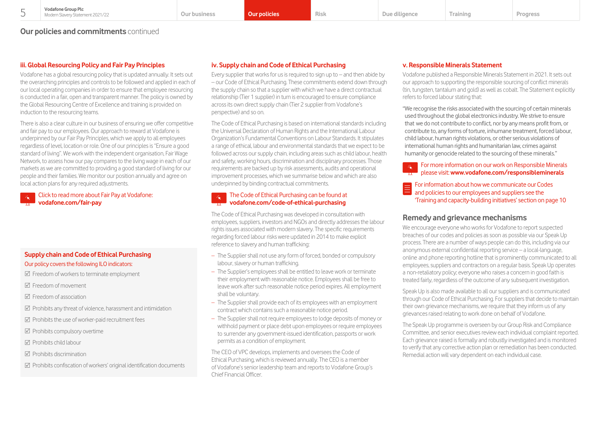**Our policies and commitments** continued

# **iii. Global Resourcing Policy and Fair Pay Principles**

Vodafone has a global resourcing policy that is updated annually. It sets out the overarching principles and controls to be followed and applied in each of our local operating companies in order to ensure that employee resourcing is conducted in a fair, open and transparent manner. The policy is owned by the Global Resourcing Centre of Excellence and training is provided on induction to the resourcing teams.

There is also a clear culture in our business of ensuring we offer competitive and fair pay to our employees. Our approach to reward at Vodafone is underpinned by our Fair Pay Principles, which we apply to all employees regardless of level, location or role. One of our principles is "Ensure a good standard of living". We work with the independent organisation, Fair Wage Network, to assess how our pay compares to the living wage in each of our markets as we are committed to providing a good standard of living for our people and their families. We monitor our position annually and agree on local action plans for any required adjustments.

## [Click to read more about Fair Pay at Vodafone:](https://www.vodafone.com/about-vodafone/who-we-are/people-and-culture/fair-pay-at-vodafone)  **[vodafone.com/fair-pay](http://vodafone.com/fair-pay)**

# **Supply chain and Code of Ethical Purchasing** Our policy covers the following ILO indicators:

### $\boxtimes$  Freedom of workers to terminate employment

- $\nabla$  Freedom of movement
- $\nabla$  Freedom of association
- $\boxtimes$  Prohibits any threat of violence, harassment and intimidation
- $\boxtimes$  Prohibits the use of worker-paid recruitment fees
- $\boxtimes$  Prohibits compulsory overtime
- $\nabla$  Prohibits child labour
- $\nabla$  Prohibits discrimination
- $\triangledown$  Prohibits confiscation of workers' original identification documents

## **iv. Supply chain and Code of Ethical Purchasing**

Every supplier that works for us is required to sign up to  $-$  and then abide by – our Code of Ethical Purchasing. These commitments extend down through the supply chain so that a supplier with which we have a direct contractual relationship (Tier 1 supplier) in turn is encouraged to ensure compliance across its own direct supply chain (Tier 2 supplier from Vodafone's perspective) and so on.

The Code of Ethical Purchasing is based on international standards including the Universal Declaration of Human Rights and the International Labour Organization's Fundamental Conventions on Labour Standards. It stipulates a range of ethical, labour and environmental standards that we expect to be followed across our supply chain, including areas such as child labour, health and safety, working hours, discrimination and disciplinary processes. Those requirements are backed up by risk assessments, audits and operational improvement processes, which we summarise below and which are also underpinned by binding contractual commitments.

#### [The Code of Ethical Purchasing can be found at](https://www.vodafone.com/content/dam/vodcom/files/policies-and-requirements-for-suppliers/VPC_Supplier-Policy_A2_Code_of_Ethical_Purchasing_V3-0.pdf)   $\mathcal{S}_{\mathbf{k}}^{\mathbf{r}}$ **vodafone.com/code-of-ethical-purchasing**

The Code of Ethical Purchasing was developed in consultation with employees, suppliers, investors and NGOs and directly addresses the labour rights issues associated with modern slavery. The specific requirements regarding forced labour risks were updated in 2014 to make explicit reference to slavery and human trafficking:

- The Supplier shall not use any form of forced, bonded or compulsory labour, slavery or human trafficking.
- The Supplier's employees shall be entitled to leave work or terminate their employment with reasonable notice. Employees shall be free to leave work after such reasonable notice period expires. All employment shall be voluntary.
- The Supplier shall provide each of its employees with an employment contract which contains such a reasonable notice period.
- The Supplier shall not require employees to lodge deposits of money or withhold payment or place debt upon employees or require employees to surrender any government-issued identification, passports or work permits as a condition of employment.

The CEO of VPC develops, implements and oversees the Code of Ethical Purchasing, which is reviewed annually. The CEO is a member of Vodafone's senior leadership team and reports to Vodafone Group's Chief Financial Officer.

### **v. Responsible Minerals Statement**

Vodafone published a Responsible Minerals Statement in 2021. It sets out our approach to supporting the responsible sourcing of conflict minerals (tin, tungsten, tantalum and gold) as well as cobalt. The Statement explicitly refers to forced labour stating that:

"We recognise the risks associated with the sourcing of certain minerals used throughout the global electronics industry. We strive to ensure that we do not contribute to conflict, nor by any means profit from, or contribute to, any forms of torture, inhumane treatment, forced labour, child labour, human rights violations, or other serious violations of international human rights and humanitarian law, crimes against humanity or genocide related to the sourcing of these minerals."

[For more information on our work on Responsible Minerals](https://www.vodafone.com/about-vodafone/reporting-centre/sustainability-reports#conflict-minerals-report)  please visit: **www.vodafone.com/responsibleminerals**

#### E For information about how we communicate our Codes and policies to our employees and suppliers see the ['Training and capacity-building initiatives' section on page 10](#page-10-0)

# **Remedy and grievance mechanisms**

We encourage everyone who works for Vodafone to report suspected breaches of our codes and policies as soon as possible via our Speak Up process. There are a number of ways people can do this, including via our anonymous external confidential reporting service – a local-language, online and phone reporting hotline that is prominently communicated to all employees, suppliers and contractors on a regular basis. Speak Up operates a non-retaliatory policy; everyone who raises a concern in good faith is treated fairly, regardless of the outcome of any subsequent investigation.

Speak Up is also made available to all our suppliers and is communicated through our Code of Ethical Purchasing. For suppliers that decide to maintain their own grievance mechanisms, we require that they inform us of any grievances raised relating to work done on behalf of Vodafone.

The Speak Up programme is overseen by our Group Risk and Compliance Committee, and senior executives review each individual complaint reported. Each grievance raised is formally and robustly investigated and is monitored to verify that any corrective action plan or remediation has been conducted. Remedial action will vary dependent on each individual case.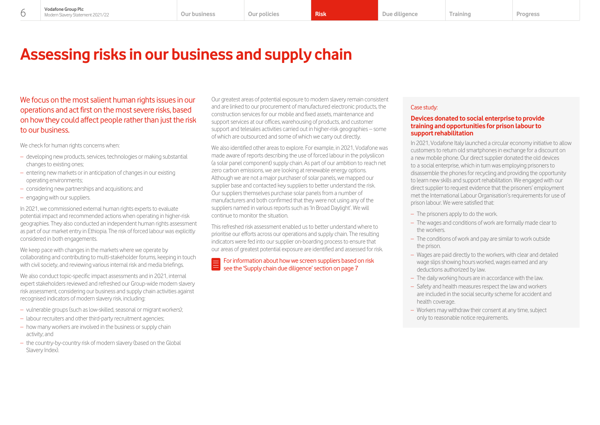# <span id="page-6-0"></span>**Assessing risks in our business and supply chain**

We focus on the most salient human rights issues in our operations and act first on the most severe risks, based on how they could affect people rather than just the risk to our business.

We check for human rights concerns when:

- developing new products, services, technologies or making substantial changes to existing ones;
- entering new markets or in anticipation of changes in our existing operating environments;
- considering new partnerships and acquisitions; and
- engaging with our suppliers.

In 2021, we commissioned external human rights experts to evaluate potential impact and recommended actions when operating in higher-risk geographies. They also conducted an independent human rights assessment as part of our market entry in Ethiopia. The risk of forced labour was explicitly considered in both engagements.

We keep pace with changes in the markets where we operate by collaborating and contributing to multi-stakeholder forums, keeping in touch with civil society, and reviewing various internal risk and media briefings.

We also conduct topic-specific impact assessments and in 2021, internal expert stakeholders reviewed and refreshed our Group-wide modern slavery risk assessment, considering our business and supply chain activities against recognised indicators of modern slavery risk, including:

- vulnerable groups (such as low-skilled, seasonal or migrant workers);
- labour recruiters and other third-party recruitment agencies;
- how many workers are involved in the business or supply chain activity; and
- the country-by-country risk of modern slavery (based on the Global Slavery Index).

Our greatest areas of potential exposure to modern slavery remain consistent and are linked to our procurement of manufactured electronic products, the construction services for our mobile and fixed assets, maintenance and support services at our offices, warehousing of products, and customer support and telesales activities carried out in higher-risk geographies – some of which are outsourced and some of which we carry out directly.

We also identified other areas to explore. For example, in 2021, Vodafone was made aware of reports describing the use of forced labour in the polysilicon (a solar panel component) supply chain. As part of our ambition to reach net zero carbon emissions, we are looking at renewable energy options. Although we are not a major purchaser of solar panels, we mapped our supplier base and contacted key suppliers to better understand the risk. Our suppliers themselves purchase solar panels from a number of manufacturers and both confirmed that they were not using any of the suppliers named in various reports such as 'In Broad Daylight'. We will continue to monitor the situation.

This refreshed risk assessment enabled us to better understand where to prioritise our efforts across our operations and supply chain. The resulting indicators were fed into our supplier on-boarding process to ensure that our areas of greatest potential exposure are identified and assessed for risk.

[For information about how we screen suppliers based on risk](#page-7-0)  see the 'Supply chain due diligence' section on page 7

## Case study:

#### **Devices donated to social enterprise to provide training and opportunities for prison labour to support rehabilitation**

In 2021, Vodafone Italy launched a circular economy initiative to allow customers to return old smartphones in exchange for a discount on a new mobile phone. Our direct supplier donated the old devices to a social enterprise, which in turn was employing prisoners to disassemble the phones for recycling and providing the opportunity to learn new skills and support rehabilitation. We engaged with our direct supplier to request evidence that the prisoners' employment met the International Labour Organisation's requirements for use of prison labour. We were satisfied that:

- The prisoners apply to do the work.
- The wages and conditions of work are formally made clear to the workers.
- The conditions of work and pay are similar to work outside the prison.
- Wages are paid directly to the workers, with clear and detailed wage slips showing hours worked, wages earned and any deductions authorized by law.
- The daily working hours are in accordance with the law.
- Safety and health measures respect the law and workers are included in the social security scheme for accident and health coverage.
- Workers may withdraw their consent at any time, subject only to reasonable notice requirements.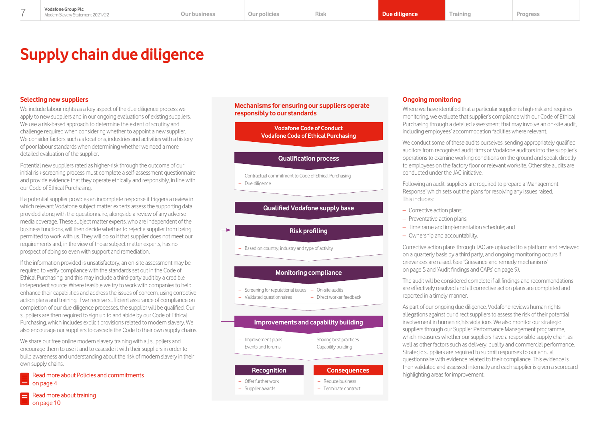# <span id="page-7-0"></span>**Supply chain due diligence**

# **Selecting new suppliers**

We include labour rights as a key aspect of the due diligence process we apply to new suppliers and in our ongoing evaluations of existing suppliers. We use a risk-based approach to determine the extent of scrutiny and challenge required when considering whether to appoint a new supplier. We consider factors such as locations, industries and activities with a history of poor labour standards when determining whether we need a more detailed evaluation of the supplier.

Potential new suppliers rated as higher-risk through the outcome of our initial risk-screening process must complete a self-assessment questionnaire and provide evidence that they operate ethically and responsibly, in line with our Code of Ethical Purchasing.

If a potential supplier provides an incomplete response it triggers a review in which relevant Vodafone subject matter experts assess the supporting data provided along with the questionnaire, alongside a review of any adverse media coverage. These subject matter experts, who are independent of the business functions, will then decide whether to reject a supplier from being permitted to work with us. They will do so if that supplier does not meet our requirements and, in the view of those subject matter experts, has no prospect of doing so even with support and remediation.

If the information provided is unsatisfactory, an on-site assessment may be required to verify compliance with the standards set out in the Code of Ethical Purchasing, and this may include a third-party audit by a credible independent source. Where feasible we try to work with companies to help enhance their capabilities and address the issues of concern, using corrective action plans and training. If we receive sufficient assurance of compliance on completion of our due diligence processes, the supplier will be qualified. Our suppliers are then required to sign up to and abide by our Code of Ethical Purchasing, which includes explicit provisions related to modern slavery. We also encourage our suppliers to cascade the Code to their own supply chains.

We share our free online modern slavery training with all suppliers and encourage them to use it and to cascade it with their suppliers in order to build awareness and understanding about the risk of modern slavery in their own supply chains.

### [Read more about Policies and commitments](#page-4-0)  on page 4

### **Mechanisms for ensuring our suppliers operate responsibly to our standards**

**Vodafone Code of Conduct Vodafone Code of Ethical Purchasing**

# **Qualification process**

– Contractual commitment to Code of Ethical Purchasing – Due diligence

# **Qualified Vodafone supply base**

# **Risk profiling**

– Based on country, industry and type of activity

# **Monitoring compliance**

- Screening for reputational issues On-site audits
- Validated questionnaires – Direct worker feedback

# **Improvements and capability building**

- Improvement plans – Events and forums
- Sharing best practices – Capability building

– Reduce business – Terminate contract

# **Recognition Consequences**

- Offer further work
- Supplier awards

# **Ongoing monitoring**

Where we have identified that a particular supplier is high-risk and requires monitoring, we evaluate that supplier's compliance with our Code of Ethical Purchasing through a detailed assessment that may involve an on-site audit, including employees' accommodation facilities where relevant.

We conduct some of these audits ourselves, sending appropriately qualified auditors from recognised audit firms or Vodafone auditors into the supplier's operations to examine working conditions on the ground and speak directly to employees on the factory floor or relevant worksite. Other site audits are conducted under the JAC initiative.

Following an audit, suppliers are required to prepare a 'Management Response' which sets out the plans for resolving any issues raised. This includes:

- Corrective action plans;
- Preventative action plans;
- Timeframe and implementation schedule; and
- Ownership and accountability.

Corrective action plans through JAC are uploaded to a platform and reviewed on a quarterly basis by a third party, and ongoing monitoring occurs if grievances are raised. (see 'Grievance and remedy mechanisms' on page 5 and 'Audit findings and CAPs' on page 9).

The audit will be considered complete if all findings and recommendations are effectively resolved and all corrective action plans are completed and reported in a timely manner.

As part of our ongoing due diligence, Vodafone reviews human rights allegations against our direct suppliers to assess the risk of their potential involvement in human rights violations. We also monitor our strategic suppliers through our Supplier Performance Management programme, which measures whether our suppliers have a responsible supply chain, as well as other factors such as delivery, quality and commercial performance. Strategic suppliers are required to submit responses to our annual questionnaire with evidence related to their compliance. This evidence is then validated and assessed internally and each supplier is given a scorecard highlighting areas for improvement.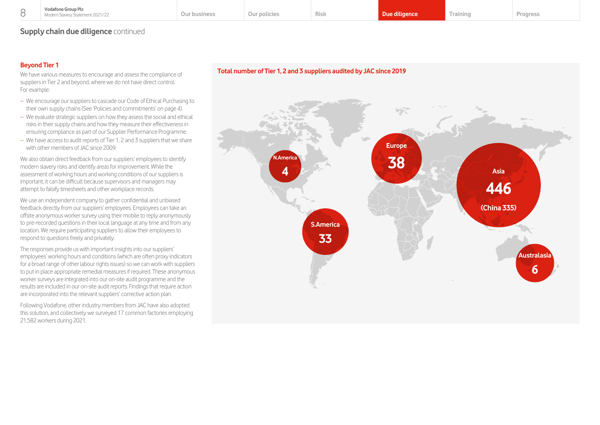# **Supply chain due diligence** continued

# **Beyond Tier 1**

We have various measures to encourage and assess the compliance of suppliers in Tier 2 and beyond, where we do not have direct control. For example:

- We encourage our suppliers to cascade our Code of Ethical Purchasing to their own supply chains (See 'Policies and commitments' on page 4).
- We evaluate strategic suppliers on how they assess the social and ethical risks in their supply chains and how they measure their effectiveness in ensuring compliance as part of our Supplier Performance Programme.
- We have access to audit reports of Tier 1, 2 and 3 suppliers that we share with other members of JAC since 2009.

We also obtain direct feedback from our suppliers' employees to identify modern slavery risks and identify areas for improvement. While the assessment of working hours and working conditions of our suppliers is important, it can be difficult because supervisors and managers may attempt to falsify timesheets and other workplace records.

We use an independent company to gather confidential and unbiased feedback directly from our suppliers' employees. Employees can take an offsite anonymous worker survey using their mobile to reply anonymously to pre-recorded questions in their local language at any time and from any location. We require participating suppliers to allow their employees to respond to questions freely and privately.

The responses provide us with important insights into our suppliers' employees' working hours and conditions (which are often proxy indicators for a broad range of other labour rights issues) so we can work with suppliers to put in place appropriate remedial measures if required. These anonymous worker surveys are integrated into our on-site audit programme and the results are included in our on-site audit reports. Findings that require action are incorporated into the relevant suppliers' corrective action plan.

Following Vodafone, other industry members from JAC have also adopted this solution, and collectively we surveyed 17 common factories employing 21,582 workers during 2021.

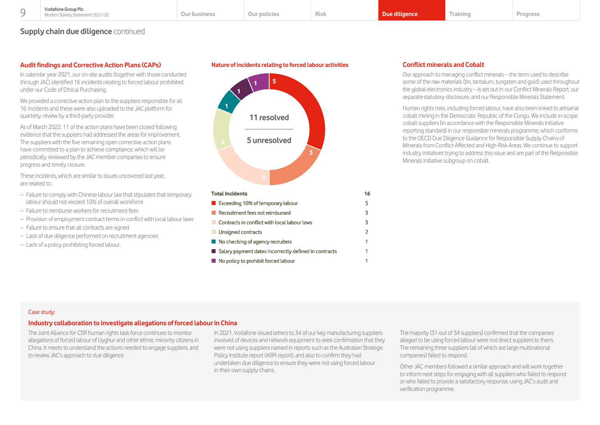**Nature of incidents relating to forced labour activities**

# <span id="page-9-0"></span>**Supply chain due diligence** continued

# **Audit findings and Corrective Action Plans (CAPs)**

In calendar year 2021, our on-site audits (together with those conducted through JAC) identified 16 incidents relating to forced labour prohibited under our Code of Ethical Purchasing.

We provided a corrective action plan to the suppliers responsible for all 16 incidents and these were also uploaded to the JAC platform for quarterly review by a third-party provider.

As of March 2022, 11 of the action plans have been closed following evidence that the suppliers had addressed the areas for improvement. The suppliers with the five remaining open corrective action plans have committed to a plan to achieve compliance, which will be periodically reviewed by the JAC member companies to ensure progress and timely closure.

These incidents, which are similar to issues uncovered last year, are related to:

- Failure to comply with Chinese labour law that stipulates that temporary labour should not exceed 10% of overall workforce
- Failure to reimburse workers for recruitment fees
- Provision of employment contract terms in conflict with local labour laws
- Failure to ensure that all contracts are signed
- Lack of due diligence performed on recruitment agencies
- Lack of a policy prohibiting forced labour.



# **Conflict minerals and Cobalt**

Our approach to managing conflict minerals – the term used to describe some of the raw materials (tin, tantalum, tungsten and gold) used throughout the global electronics industry – is set out in our Conflict Minerals Report, our separate statutory disclosure, and our Responsible Minerals Statement.

Human rights risks, including forced labour, have also been linked to artisanal cobalt mining in the Democratic Republic of the Congo. We include in-scope cobalt suppliers (in accordance with the Responsible Minerals Initiative reporting standard) in our responsible minerals programme, which conforms to the OECD Due Diligence Guidance for Responsible Supply Chains of Minerals from Conflict-Affected and High-Risk Areas. We continue to support industry initiatives trying to address this issue and are part of the Responsible Minerals Initiative subgroup on cobalt.

#### Case study:

### **Industry collaboration to investigate allegations of forced labour in China**

The Joint Alliance for CSR human rights task force continues to monitor allegations of forced labour of Uyghur and other ethnic minority citizens in China. It meets to understand the actions needed to engage suppliers, and to review JAC's approach to due diligence.

In 2021, Vodafone issued letters to 34 of our key manufacturing suppliers involved of devices and network equipment to seek confirmation that they were not using suppliers named in reports such as the Australian Strategic Policy Institute report (ASPI report), and also to confirm they had undertaken due diligence to ensure they were not using forced labour in their own supply chains.

The majority (31 out of 34 suppliers) confirmed that the companies alleged to be using forced labour were not direct suppliers to them. The remaining three suppliers (all of which are large multinational companies) failed to respond.

Other JAC members followed a similar approach and will work together to inform next steps for engaging with all suppliers who failed to respond or who failed to provide a satisfactory response, using JAC's audit and verification programme.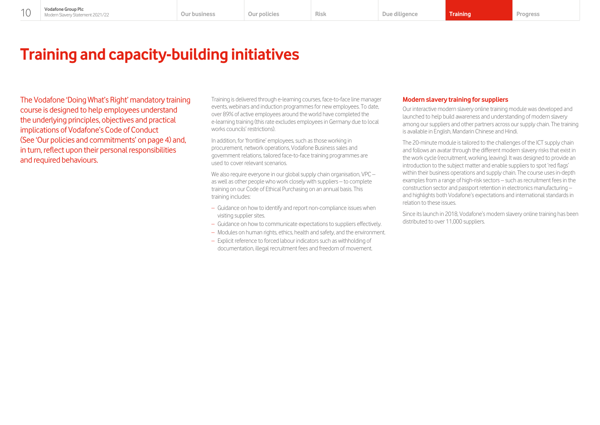# <span id="page-10-0"></span>**Training and capacity-building initiatives**

The Vodafone 'Doing What's Right' mandatory training course is designed to help employees understand the underlying principles, objectives and practical implications of Vodafone's Code of Conduct (See 'Our policies and commitments' on page 4) and, in turn, reflect upon their personal responsibilities and required behaviours.

Training is delivered through e-learning courses, face-to-face line manager events, webinars and induction programmes for new employees. To date, over 89% of active employees around the world have completed the e-learning training (this rate excludes employees in Germany due to local works councils' restrictions).

In addition, for 'frontline' employees, such as those working in procurement, network operations, Vodafone Business sales and government relations, tailored face-to-face training programmes are used to cover relevant scenarios.

We also require everyone in our global supply chain organisation, VPC – as well as other people who work closely with suppliers – to complete training on our Code of Ethical Purchasing on an annual basis. This training includes:

- Guidance on how to identify and report non-compliance issues when visiting supplier sites.
- Guidance on how to communicate expectations to suppliers effectively.
- Modules on human rights, ethics, health and safety, and the environment.
- Explicit reference to forced labour indicators such as withholding of documentation, illegal recruitment fees and freedom of movement.

### **Modern slavery training for suppliers**

Our interactive modern slavery online training module was developed and launched to help build awareness and understanding of modern slavery among our suppliers and other partners across our supply chain. The training is available in English, Mandarin Chinese and Hindi.

The 20-minute module is tailored to the challenges of the ICT supply chain and follows an avatar through the different modern slavery risks that exist in the work cycle (recruitment, working, leaving). It was designed to provide an introduction to the subject matter and enable suppliers to spot 'red flags' within their business operations and supply chain. The course uses in-depth examples from a range of high-risk sectors – such as recruitment fees in the construction sector and passport retention in electronics manufacturing – and highlights both Vodafone's expectations and international standards in relation to these issues.

Since its launch in 2018, Vodafone's modern slavery online training has been distributed to over 11,000 suppliers.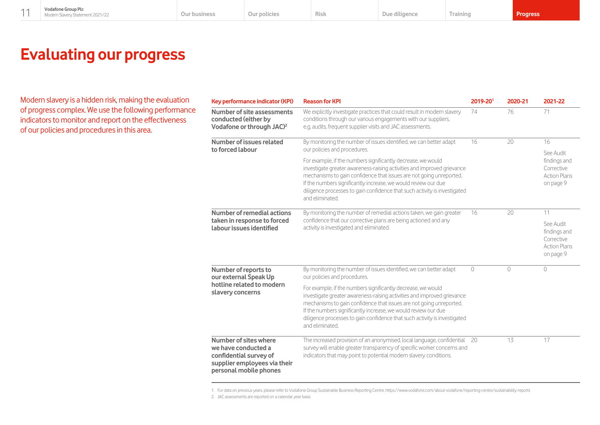# <span id="page-11-0"></span>**Evaluating our progress**

Modern slavery is a hidden risk, making the evaluation of progress complex. We use the following performance indicators to monitor and report on the effectiveness of our policies and procedures in this area.

| <b>Key performance indicator (KPI)</b>                                                                                           | <b>Reason for KPI</b>                                                                                                                                                                                                                                                                                                                                                            | 2019-201 | 2020-21 | 2021-22                                                                     |
|----------------------------------------------------------------------------------------------------------------------------------|----------------------------------------------------------------------------------------------------------------------------------------------------------------------------------------------------------------------------------------------------------------------------------------------------------------------------------------------------------------------------------|----------|---------|-----------------------------------------------------------------------------|
| Number of site assessments<br>conducted (either by<br>Vodafone or through JAC) <sup>2</sup>                                      | We explicitly investigate practices that could result in modern slavery<br>conditions through our various engagements with our suppliers,<br>e.g. audits, frequent supplier visits and JAC assessments.                                                                                                                                                                          | 74       | 76      | 71                                                                          |
| Number of issues related<br>to forced labour                                                                                     | By monitoring the number of issues identified, we can better adapt<br>our policies and procedures.                                                                                                                                                                                                                                                                               | 16       | 20      | 16                                                                          |
|                                                                                                                                  | For example, if the numbers significantly decrease, we would<br>investigate greater awareness-raising activities and improved grievance<br>mechanisms to gain confidence that issues are not going unreported.<br>If the numbers significantly increase, we would review our due<br>diligence processes to gain confidence that such activity is investigated<br>and eliminated. |          |         | See Audit<br>findings and<br>Corrective<br><b>Action Plans</b><br>on page 9 |
| Number of remedial actions<br>taken in response to forced<br>labour issues identified                                            | By monitoring the number of remedial actions taken, we gain greater<br>confidence that our corrective plans are being actioned and any<br>activity is investigated and eliminated.                                                                                                                                                                                               | 16       | 20      | 11                                                                          |
|                                                                                                                                  |                                                                                                                                                                                                                                                                                                                                                                                  |          |         | See Audit<br>findings and<br>Corrective<br><b>Action Plans</b><br>on page 9 |
| Number of reports to<br>our external Speak Up<br>hotline related to modern<br>slavery concerns                                   | By monitoring the number of issues identified, we can better adapt<br>our policies and procedures.                                                                                                                                                                                                                                                                               | $\circ$  | $\circ$ | $\circ$                                                                     |
|                                                                                                                                  | For example, if the numbers significantly decrease, we would<br>investigate greater awareness-raising activities and improved grievance<br>mechanisms to gain confidence that issues are not going unreported.<br>If the numbers significantly increase, we would review our due<br>diligence processes to gain confidence that such activity is investigated<br>and eliminated. |          |         |                                                                             |
| Number of sites where<br>we have conducted a<br>confidential survey of<br>supplier employees via their<br>personal mobile phones | The increased provision of an anonymised, local language, confidential<br>survey will enable greater transparency of specific worker concerns and<br>indicators that may point to potential modern slavery conditions.                                                                                                                                                           | 20       | 13      | 17                                                                          |

1. For data on previous years, please refer to Vodafone Group Sustainable Business Reporting Centre. https://www.vodafone.com/about-vodafone/reporting-centre/sustainability-reports

<sup>2.</sup> JAC assessments are reported on a calendar year basis.